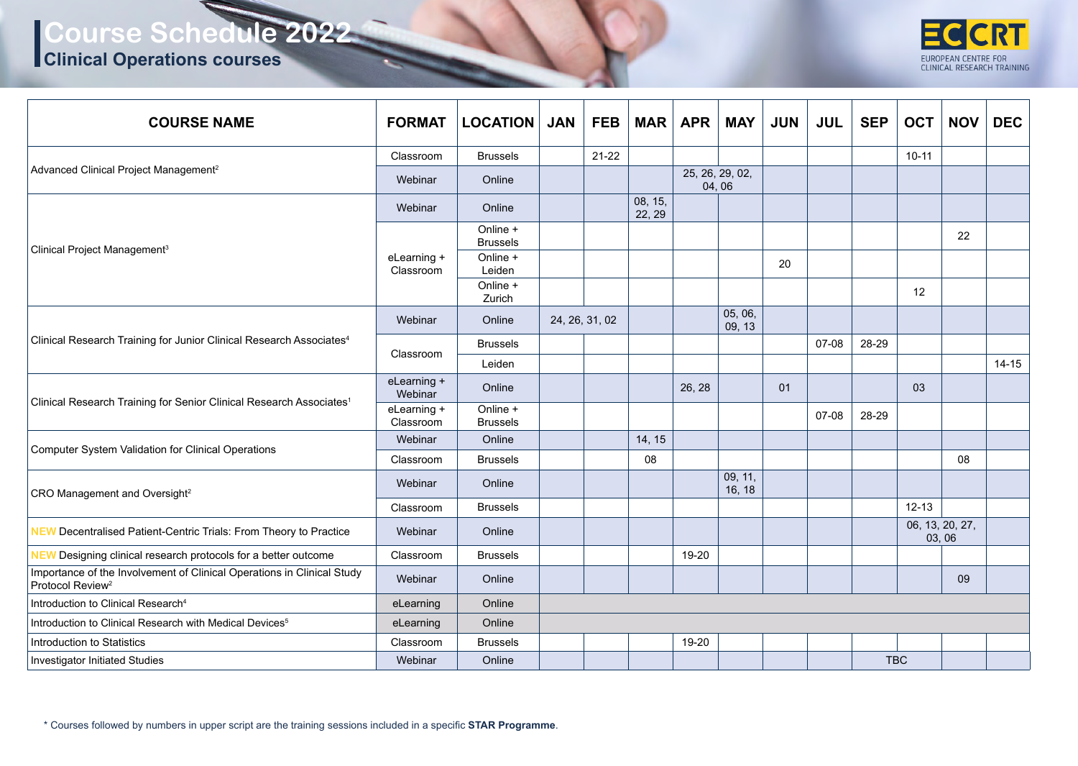**Clinical Operations courses**



| <b>COURSE NAME</b>                                                                                     | <b>FORMAT</b>            | <b>LOCATION</b>             | <b>JAN</b> | <b>FEB</b>     | <b>MAR</b>        | <b>APR</b> | <b>MAY</b>               | <b>JUN</b> | <b>JUL</b> | <b>SEP</b>               | <b>OCT</b> | <b>NOV</b> | <b>DEC</b> |
|--------------------------------------------------------------------------------------------------------|--------------------------|-----------------------------|------------|----------------|-------------------|------------|--------------------------|------------|------------|--------------------------|------------|------------|------------|
|                                                                                                        | Classroom                | <b>Brussels</b>             |            | $21 - 22$      |                   |            |                          |            |            |                          | $10 - 11$  |            |            |
| Advanced Clinical Project Management <sup>2</sup>                                                      | Webinar                  | Online                      |            |                |                   |            | 25, 26, 29, 02,<br>04,06 |            |            |                          |            |            |            |
| Clinical Project Management <sup>3</sup>                                                               | Webinar                  | Online                      |            |                | 08, 15,<br>22, 29 |            |                          |            |            |                          |            |            |            |
|                                                                                                        |                          | Online +<br><b>Brussels</b> |            |                |                   |            |                          |            |            |                          |            | 22         |            |
|                                                                                                        | eLearning +<br>Classroom | Online +<br>Leiden          |            |                |                   |            |                          | 20         |            |                          |            |            |            |
|                                                                                                        |                          | Online +<br>Zurich          |            |                |                   |            |                          |            |            |                          | 12         |            |            |
| Clinical Research Training for Junior Clinical Research Associates <sup>4</sup>                        | Webinar                  | Online                      |            | 24, 26, 31, 02 |                   |            | 05, 06,<br>09, 13        |            |            |                          |            |            |            |
|                                                                                                        | Classroom                | <b>Brussels</b>             |            |                |                   |            |                          |            | 07-08      | 28-29                    |            |            |            |
|                                                                                                        |                          | Leiden                      |            |                |                   |            |                          |            |            |                          |            |            | $14 - 15$  |
| Clinical Research Training for Senior Clinical Research Associates <sup>1</sup>                        | eLearning +<br>Webinar   | Online                      |            |                |                   | 26, 28     |                          | 01         |            |                          | 03         |            |            |
|                                                                                                        | eLearning +<br>Classroom | Online +<br><b>Brussels</b> |            |                |                   |            |                          |            | 07-08      | 28-29                    |            |            |            |
| <b>Computer System Validation for Clinical Operations</b>                                              | Webinar                  | Online                      |            |                | 14, 15            |            |                          |            |            |                          |            |            |            |
|                                                                                                        | Classroom                | <b>Brussels</b>             |            |                | 08                |            |                          |            |            |                          |            | 08         |            |
| CRO Management and Oversight <sup>2</sup>                                                              | Webinar                  | Online                      |            |                |                   |            | 09, 11,<br>16, 18        |            |            |                          |            |            |            |
|                                                                                                        | Classroom                | <b>Brussels</b>             |            |                |                   |            |                          |            |            |                          | $12 - 13$  |            |            |
| <b>NEW</b> Decentralised Patient-Centric Trials: From Theory to Practice                               | Webinar                  | Online                      |            |                |                   |            |                          |            |            | 06, 13, 20, 27,<br>03,06 |            |            |            |
| Designing clinical research protocols for a better outcome<br><b>NEW</b>                               | Classroom                | <b>Brussels</b>             |            |                |                   | 19-20      |                          |            |            |                          |            |            |            |
| Importance of the Involvement of Clinical Operations in Clinical Study<br>Protocol Review <sup>2</sup> | Webinar                  | Online                      |            |                |                   |            |                          |            |            |                          |            | 09         |            |
| Introduction to Clinical Research <sup>4</sup>                                                         | eLearning                | Online                      |            |                |                   |            |                          |            |            |                          |            |            |            |
| Introduction to Clinical Research with Medical Devices <sup>5</sup>                                    | eLearning                | Online                      |            |                |                   |            |                          |            |            |                          |            |            |            |
| Introduction to Statistics                                                                             | Classroom                | <b>Brussels</b>             |            |                |                   | 19-20      |                          |            |            |                          |            |            |            |
| Investigator Initiated Studies                                                                         | Webinar                  | Online                      |            |                |                   |            |                          |            |            | <b>TBC</b>               |            |            |            |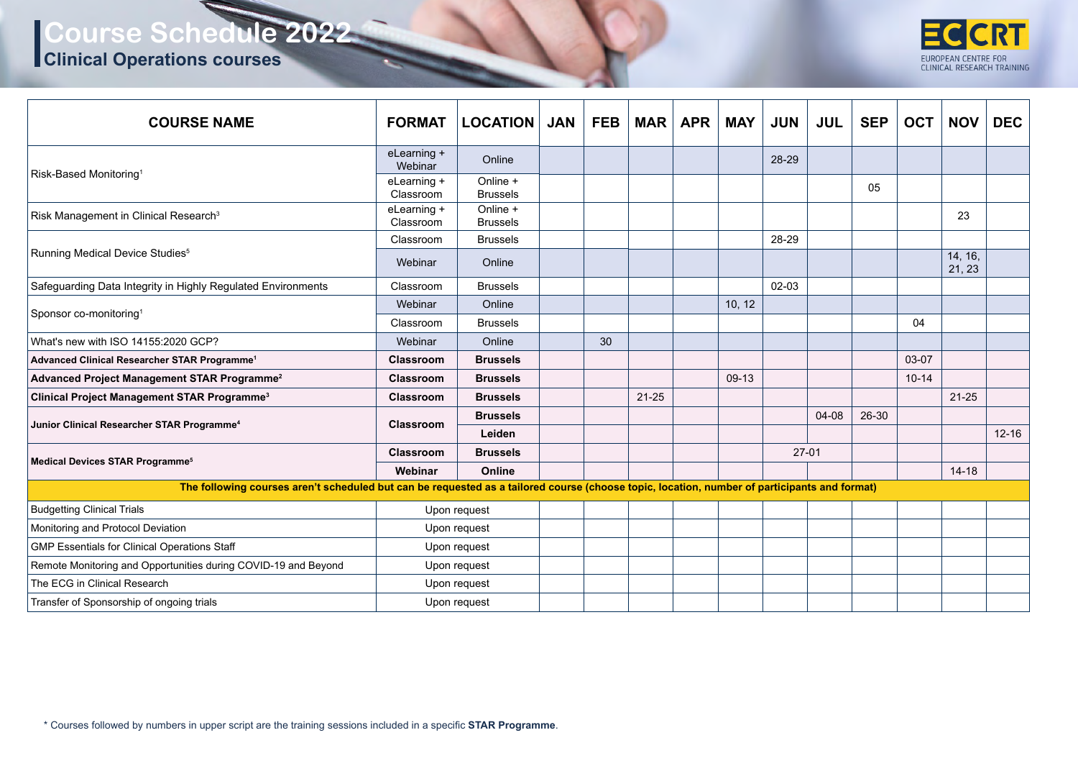#### **Clinical Operations courses**



| <b>COURSE NAME</b>                                                                                                                           | <b>FORMAT</b>            | <b>LOCATION</b> JAN         | <b>FEB</b> |           | $MAR$ $APR$ | MAY    | <b>JUN</b> | <b>JUL</b> | <b>SEP</b> | <b>OCT</b> | <b>NOV</b>        | <b>DEC</b> |
|----------------------------------------------------------------------------------------------------------------------------------------------|--------------------------|-----------------------------|------------|-----------|-------------|--------|------------|------------|------------|------------|-------------------|------------|
| Risk-Based Monitoring <sup>1</sup>                                                                                                           | eLearning +<br>Webinar   | Online                      |            |           |             |        | 28-29      |            |            |            |                   |            |
|                                                                                                                                              | eLearning +<br>Classroom | Online +<br><b>Brussels</b> |            |           |             |        |            |            | 05         |            |                   |            |
| Risk Management in Clinical Research <sup>3</sup>                                                                                            | eLearning +<br>Classroom | Online +<br><b>Brussels</b> |            |           |             |        |            |            |            |            | 23                |            |
| Running Medical Device Studies <sup>5</sup>                                                                                                  | Classroom                | <b>Brussels</b>             |            |           |             |        | 28-29      |            |            |            |                   |            |
|                                                                                                                                              | Webinar                  | Online                      |            |           |             |        |            |            |            |            | 14, 16,<br>21, 23 |            |
| Safeguarding Data Integrity in Highly Regulated Environments                                                                                 | Classroom                | <b>Brussels</b>             |            |           |             |        | 02-03      |            |            |            |                   |            |
| Sponsor co-monitoring <sup>1</sup>                                                                                                           | Webinar                  | Online                      |            |           |             | 10, 12 |            |            |            |            |                   |            |
|                                                                                                                                              | Classroom                | <b>Brussels</b>             |            |           |             |        |            |            |            | 04         |                   |            |
| What's new with ISO 14155:2020 GCP?                                                                                                          | Webinar                  | Online                      | 30         |           |             |        |            |            |            |            |                   |            |
| Advanced Clinical Researcher STAR Programme <sup>1</sup>                                                                                     | <b>Classroom</b>         | <b>Brussels</b>             |            |           |             |        |            |            |            | 03-07      |                   |            |
| Advanced Project Management STAR Programme <sup>2</sup>                                                                                      | Classroom                | <b>Brussels</b>             |            |           |             | 09-13  |            |            |            | $10 - 14$  |                   |            |
| <b>Clinical Project Management STAR Programme<sup>3</sup></b>                                                                                | Classroom                | <b>Brussels</b>             |            | $21 - 25$ |             |        |            |            |            |            | $21 - 25$         |            |
| Junior Clinical Researcher STAR Programme <sup>4</sup>                                                                                       | <b>Classroom</b>         | <b>Brussels</b><br>Leiden   |            |           |             |        |            | 04-08      | 26-30      |            |                   | $12 - 16$  |
|                                                                                                                                              | Classroom                | <b>Brussels</b>             |            |           |             |        | $27-01$    |            |            |            |                   |            |
| <b>Medical Devices STAR Programme<sup>5</sup></b>                                                                                            | Webinar                  | Online                      |            |           |             |        |            |            |            |            | $14 - 18$         |            |
| The following courses aren't scheduled but can be requested as a tailored course (choose topic, location, number of participants and format) |                          |                             |            |           |             |        |            |            |            |            |                   |            |
| <b>Budgetting Clinical Trials</b>                                                                                                            |                          | Upon request                |            |           |             |        |            |            |            |            |                   |            |
| Monitoring and Protocol Deviation                                                                                                            |                          | Upon request                |            |           |             |        |            |            |            |            |                   |            |
| <b>GMP Essentials for Clinical Operations Staff</b>                                                                                          |                          | Upon request                |            |           |             |        |            |            |            |            |                   |            |
| Remote Monitoring and Opportunities during COVID-19 and Beyond                                                                               |                          | Upon request                |            |           |             |        |            |            |            |            |                   |            |
| The ECG in Clinical Research                                                                                                                 |                          | Upon request                |            |           |             |        |            |            |            |            |                   |            |
| Transfer of Sponsorship of ongoing trials                                                                                                    |                          | Upon request                |            |           |             |        |            |            |            |            |                   |            |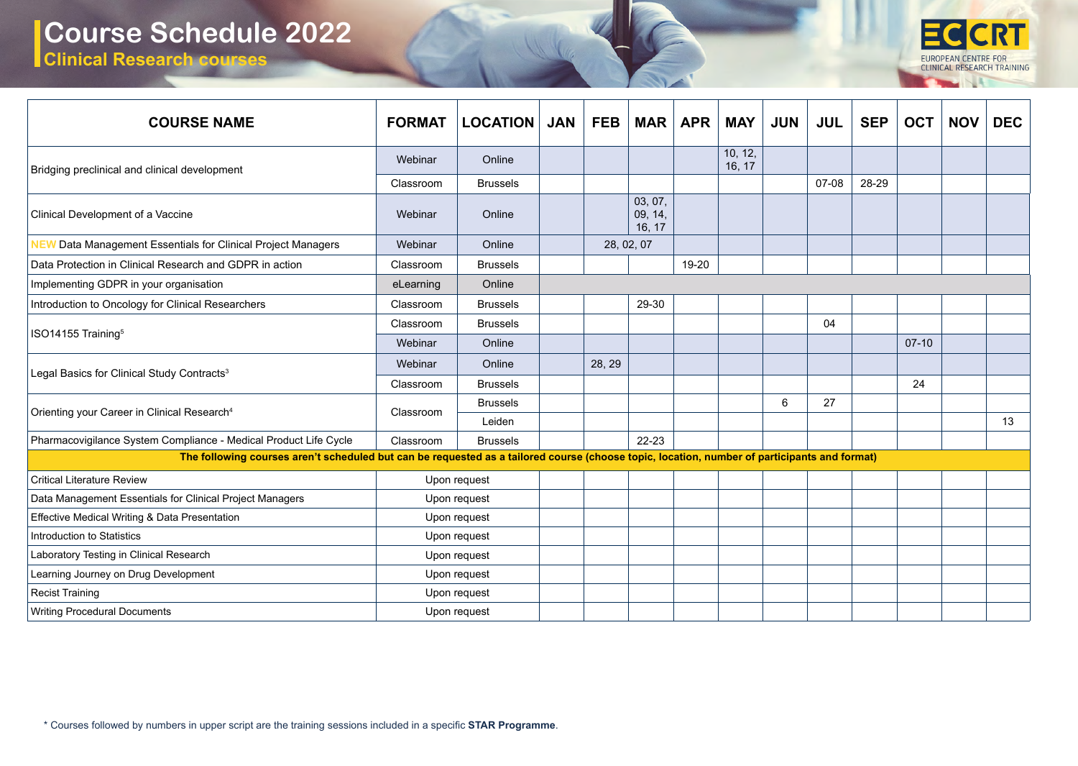**Clinical Research courses**



| <b>COURSE NAME</b>                                                                                                                           | <b>FORMAT</b> | <b>LOCATION</b>           | <b>JAN</b> | <b>FEB</b> | <b>MAR</b>                   | <b>APR</b> | <b>MAY</b>        | <b>JUN</b> | <b>JUL</b> | <b>SEP</b> | <b>OCT</b> | <b>NOV</b> | <b>DEC</b> |
|----------------------------------------------------------------------------------------------------------------------------------------------|---------------|---------------------------|------------|------------|------------------------------|------------|-------------------|------------|------------|------------|------------|------------|------------|
| Bridging preclinical and clinical development                                                                                                | Webinar       | Online                    |            |            |                              |            | 10, 12,<br>16, 17 |            |            |            |            |            |            |
|                                                                                                                                              | Classroom     | <b>Brussels</b>           |            |            |                              |            |                   |            | 07-08      | 28-29      |            |            |            |
| Clinical Development of a Vaccine                                                                                                            | Webinar       | Online                    |            |            | 03, 07,<br>09, 14,<br>16, 17 |            |                   |            |            |            |            |            |            |
| <b>NEW Data Management Essentials for Clinical Project Managers</b>                                                                          | Webinar       | Online                    |            |            | 28, 02, 07                   |            |                   |            |            |            |            |            |            |
| Data Protection in Clinical Research and GDPR in action                                                                                      | Classroom     | <b>Brussels</b>           |            |            |                              | 19-20      |                   |            |            |            |            |            |            |
| Implementing GDPR in your organisation                                                                                                       | eLearning     | Online                    |            |            |                              |            |                   |            |            |            |            |            |            |
| Introduction to Oncology for Clinical Researchers                                                                                            | Classroom     | <b>Brussels</b>           |            |            | 29-30                        |            |                   |            |            |            |            |            |            |
| ISO14155 Training <sup>5</sup>                                                                                                               | Classroom     | <b>Brussels</b>           |            |            |                              |            |                   |            | 04         |            |            |            |            |
|                                                                                                                                              | Webinar       | Online                    |            |            |                              |            |                   |            |            |            | $07-10$    |            |            |
| Legal Basics for Clinical Study Contracts <sup>3</sup>                                                                                       | Webinar       | Online                    |            | 28, 29     |                              |            |                   |            |            |            |            |            |            |
|                                                                                                                                              | Classroom     | <b>Brussels</b>           |            |            |                              |            |                   |            |            |            | 24         |            |            |
| Orienting your Career in Clinical Research <sup>4</sup>                                                                                      | Classroom     | <b>Brussels</b><br>Leiden |            |            |                              |            |                   | 6          | 27         |            |            |            | 13         |
| Pharmacovigilance System Compliance - Medical Product Life Cycle                                                                             | Classroom     | <b>Brussels</b>           |            |            | $22 - 23$                    |            |                   |            |            |            |            |            |            |
| The following courses aren't scheduled but can be requested as a tailored course (choose topic, location, number of participants and format) |               |                           |            |            |                              |            |                   |            |            |            |            |            |            |
| <b>Critical Literature Review</b>                                                                                                            |               | Upon request              |            |            |                              |            |                   |            |            |            |            |            |            |
| Data Management Essentials for Clinical Project Managers                                                                                     |               | Upon request              |            |            |                              |            |                   |            |            |            |            |            |            |
| Effective Medical Writing & Data Presentation                                                                                                |               | Upon request              |            |            |                              |            |                   |            |            |            |            |            |            |
| Introduction to Statistics                                                                                                                   |               | Upon request              |            |            |                              |            |                   |            |            |            |            |            |            |
| Laboratory Testing in Clinical Research                                                                                                      |               | Upon request              |            |            |                              |            |                   |            |            |            |            |            |            |
| Learning Journey on Drug Development                                                                                                         |               | Upon request              |            |            |                              |            |                   |            |            |            |            |            |            |
| <b>Recist Training</b>                                                                                                                       |               | Upon request              |            |            |                              |            |                   |            |            |            |            |            |            |
| <b>Writing Procedural Documents</b>                                                                                                          |               | Upon request              |            |            |                              |            |                   |            |            |            |            |            |            |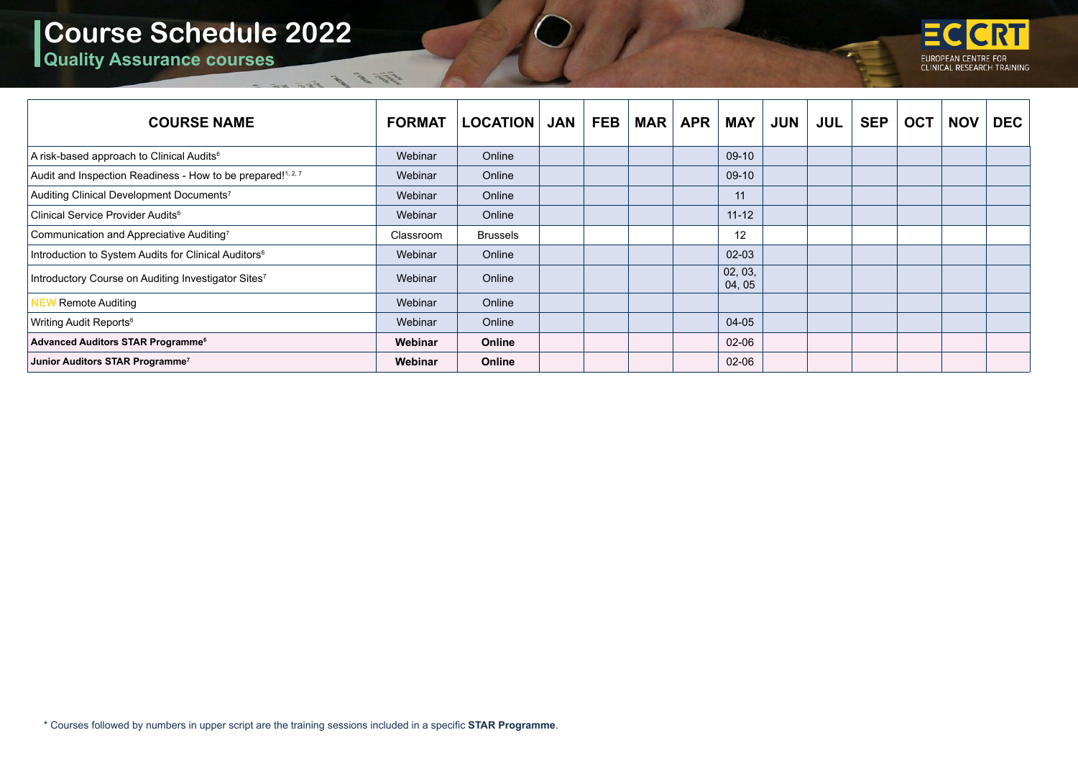Elle R. C.

**Quality Assurance courses**



| <b>COURSE NAME</b>                                               | <b>FORMAT</b> | <b>LOCATION</b> | <b>JAN</b> | <b>FEB</b> | <b>MAR</b> | <b>APR</b> | <b>MAY</b>        | <b>JUN</b> | <b>JUL</b> | <b>SEP</b> | <b>OCT</b> | <b>NOV</b> | <b>DEC</b> |
|------------------------------------------------------------------|---------------|-----------------|------------|------------|------------|------------|-------------------|------------|------------|------------|------------|------------|------------|
| A risk-based approach to Clinical Audits <sup>6</sup>            | Webinar       | Online          |            |            |            |            | $09-10$           |            |            |            |            |            |            |
| Audit and Inspection Readiness - How to be prepared!1, 2, 7      | Webinar       | Online          |            |            |            |            | 09-10             |            |            |            |            |            |            |
| Auditing Clinical Development Documents7                         | Webinar       | Online          |            |            |            |            | 11                |            |            |            |            |            |            |
| Clinical Service Provider Audits <sup>6</sup>                    | Webinar       | Online          |            |            |            |            | $11 - 12$         |            |            |            |            |            |            |
| Communication and Appreciative Auditing7                         | Classroom     | <b>Brussels</b> |            |            |            |            | 12                |            |            |            |            |            |            |
| Introduction to System Audits for Clinical Auditors <sup>6</sup> | Webinar       | Online          |            |            |            |            | $02 - 03$         |            |            |            |            |            |            |
| Introductory Course on Auditing Investigator Sites <sup>7</sup>  | Webinar       | Online          |            |            |            |            | 02, 03,<br>04, 05 |            |            |            |            |            |            |
| Remote Auditing                                                  | Webinar       | Online          |            |            |            |            |                   |            |            |            |            |            |            |
| Writing Audit Reports <sup>6</sup>                               | Webinar       | Online          |            |            |            |            | 04-05             |            |            |            |            |            |            |
| Advanced Auditors STAR Programme <sup>6</sup>                    | Webinar       | Online          |            |            |            |            | 02-06             |            |            |            |            |            |            |
| Junior Auditors STAR Programme <sup>7</sup>                      | Webinar       | Online          |            |            |            |            | $02 - 06$         |            |            |            |            |            |            |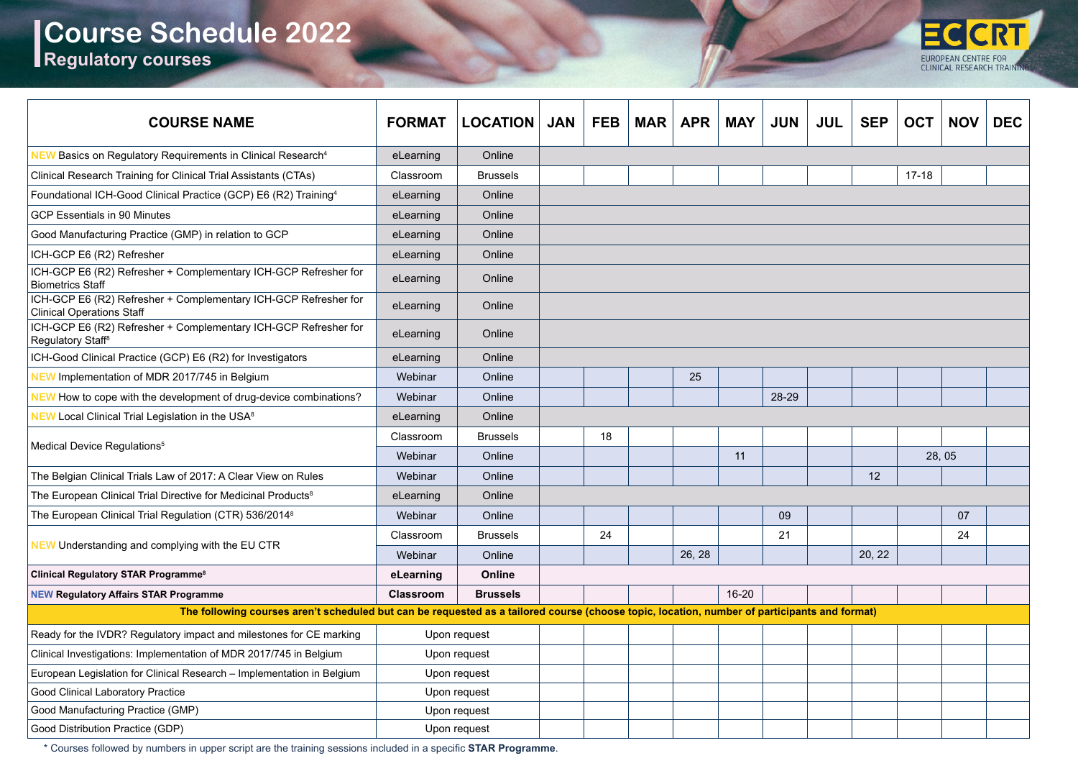## **Course Schedule 2022 Regulatory courses**



| <b>COURSE NAME</b>                                                                                                                           | <b>FORMAT</b>    | <b>LOCATION</b> | <b>JAN</b> | <b>FEB</b> | <b>MAR</b> | <b>APR</b> | <b>MAY</b> | <b>JUN</b> | <b>JUL</b> | <b>SEP</b> | <b>OCT</b> | <b>NOV</b> | <b>DEC</b> |
|----------------------------------------------------------------------------------------------------------------------------------------------|------------------|-----------------|------------|------------|------------|------------|------------|------------|------------|------------|------------|------------|------------|
| <b>NEW</b> Basics on Regulatory Requirements in Clinical Research <sup>4</sup>                                                               | eLearning        | Online          |            |            |            |            |            |            |            |            |            |            |            |
| Clinical Research Training for Clinical Trial Assistants (CTAs)                                                                              | Classroom        | <b>Brussels</b> |            |            |            |            |            |            |            |            | $17 - 18$  |            |            |
| Foundational ICH-Good Clinical Practice (GCP) E6 (R2) Training <sup>4</sup>                                                                  | eLearning        | Online          |            |            |            |            |            |            |            |            |            |            |            |
| <b>GCP Essentials in 90 Minutes</b>                                                                                                          | eLearning        | Online          |            |            |            |            |            |            |            |            |            |            |            |
| Good Manufacturing Practice (GMP) in relation to GCP                                                                                         | eLearning        | Online          |            |            |            |            |            |            |            |            |            |            |            |
| ICH-GCP E6 (R2) Refresher                                                                                                                    | eLearning        | Online          |            |            |            |            |            |            |            |            |            |            |            |
| ICH-GCP E6 (R2) Refresher + Complementary ICH-GCP Refresher for<br><b>Biometrics Staff</b>                                                   | eLearning        | Online          |            |            |            |            |            |            |            |            |            |            |            |
| ICH-GCP E6 (R2) Refresher + Complementary ICH-GCP Refresher for<br><b>Clinical Operations Staff</b>                                          | eLearning        | Online          |            |            |            |            |            |            |            |            |            |            |            |
| ICH-GCP E6 (R2) Refresher + Complementary ICH-GCP Refresher for<br>Regulatory Staff <sup>8</sup>                                             | eLearning        | Online          |            |            |            |            |            |            |            |            |            |            |            |
| ICH-Good Clinical Practice (GCP) E6 (R2) for Investigators                                                                                   | eLearning        | Online          |            |            |            |            |            |            |            |            |            |            |            |
| <b>NEW</b> Implementation of MDR 2017/745 in Belgium                                                                                         | Webinar          | Online          |            |            |            | 25         |            |            |            |            |            |            |            |
| <b>NEW</b> How to cope with the development of drug-device combinations?                                                                     | Webinar          | Online          |            |            |            |            |            | 28-29      |            |            |            |            |            |
| <b>NEW Local Clinical Trial Legislation in the USA<sup>8</sup></b>                                                                           | eLearning        | Online          |            |            |            |            |            |            |            |            |            |            |            |
|                                                                                                                                              | Classroom        | <b>Brussels</b> |            | 18         |            |            |            |            |            |            |            |            |            |
| Medical Device Regulations <sup>5</sup>                                                                                                      | Webinar          | Online          |            |            |            |            | 11         |            |            |            |            | 28,05      |            |
| The Belgian Clinical Trials Law of 2017: A Clear View on Rules                                                                               | Webinar          | Online          |            |            |            |            |            |            |            | 12         |            |            |            |
| The European Clinical Trial Directive for Medicinal Products <sup>8</sup>                                                                    | eLearning        | Online          |            |            |            |            |            |            |            |            |            |            |            |
| The European Clinical Trial Regulation (CTR) 536/2014 <sup>8</sup>                                                                           | Webinar          | Online          |            |            |            |            |            | 09         |            |            |            | 07         |            |
| <b>NEW Understanding and complying with the EU CTR</b>                                                                                       | Classroom        | <b>Brussels</b> |            | 24         |            |            |            | 21         |            |            |            | 24         |            |
|                                                                                                                                              | Webinar          | Online          |            |            |            | 26, 28     |            |            |            | 20, 22     |            |            |            |
| <b>Clinical Regulatory STAR Programme<sup>8</sup></b>                                                                                        | eLearning        | Online          |            |            |            |            |            |            |            |            |            |            |            |
| <b>NEW Regulatory Affairs STAR Programme</b>                                                                                                 | <b>Classroom</b> | <b>Brussels</b> |            |            |            |            | 16-20      |            |            |            |            |            |            |
| The following courses aren't scheduled but can be requested as a tailored course (choose topic, location, number of participants and format) |                  |                 |            |            |            |            |            |            |            |            |            |            |            |
| Ready for the IVDR? Regulatory impact and milestones for CE marking                                                                          |                  | Upon request    |            |            |            |            |            |            |            |            |            |            |            |
| Clinical Investigations: Implementation of MDR 2017/745 in Belgium                                                                           |                  | Upon request    |            |            |            |            |            |            |            |            |            |            |            |
| European Legislation for Clinical Research - Implementation in Belgium                                                                       |                  | Upon request    |            |            |            |            |            |            |            |            |            |            |            |
| <b>Good Clinical Laboratory Practice</b>                                                                                                     |                  | Upon request    |            |            |            |            |            |            |            |            |            |            |            |
| Good Manufacturing Practice (GMP)                                                                                                            |                  | Upon request    |            |            |            |            |            |            |            |            |            |            |            |
| Good Distribution Practice (GDP)                                                                                                             |                  | Upon request    |            |            |            |            |            |            |            |            |            |            |            |

\* Courses followed by numbers in upper script are the training sessions included in a specific **STAR Programme**.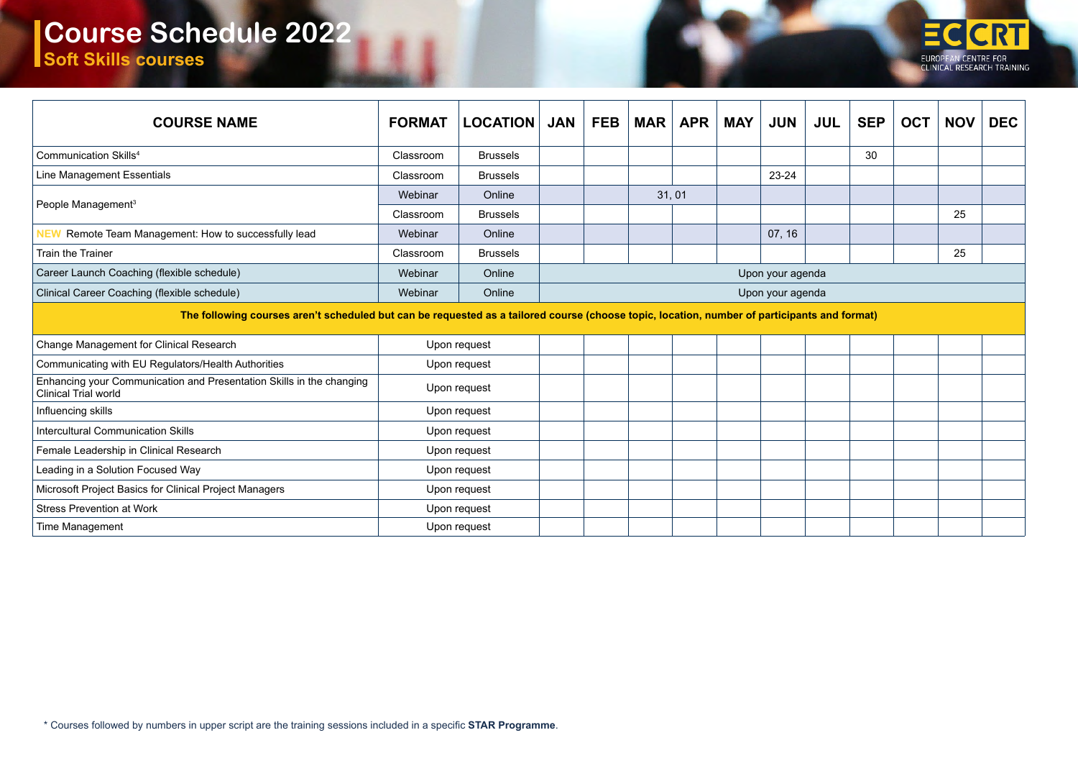## **Course Schedule 2022 Soft Skills courses**

| <b>COURSE NAME</b>                                                                                                                           | <b>FORMAT</b> | <b>LOCATION</b> | <b>JAN</b>       | FEB   | <b>MAR</b> | <b>APR</b> | MAY | <b>JUN</b> | <b>JUL</b> | <b>SEP</b> | <b>OCT</b> | <b>NOV</b> | <b>DEC</b> |
|----------------------------------------------------------------------------------------------------------------------------------------------|---------------|-----------------|------------------|-------|------------|------------|-----|------------|------------|------------|------------|------------|------------|
| Communication Skills <sup>4</sup>                                                                                                            | Classroom     | <b>Brussels</b> |                  |       |            |            |     |            |            | 30         |            |            |            |
| Line Management Essentials                                                                                                                   | Classroom     | <b>Brussels</b> |                  |       |            |            |     | 23-24      |            |            |            |            |            |
| People Management <sup>3</sup>                                                                                                               | Webinar       | Online          |                  | 31,01 |            |            |     |            |            |            |            |            |            |
|                                                                                                                                              | Classroom     | <b>Brussels</b> |                  |       |            |            |     |            |            |            |            | 25         |            |
| Remote Team Management: How to successfully lead<br><b>NEW</b>                                                                               | Webinar       | Online          |                  |       |            |            |     | 07, 16     |            |            |            |            |            |
| Train the Trainer                                                                                                                            | Classroom     | <b>Brussels</b> |                  |       |            |            |     |            |            |            |            | 25         |            |
| Career Launch Coaching (flexible schedule)                                                                                                   | Webinar       | Online          | Upon your agenda |       |            |            |     |            |            |            |            |            |            |
| Clinical Career Coaching (flexible schedule)                                                                                                 | Webinar       | Online          | Upon your agenda |       |            |            |     |            |            |            |            |            |            |
| The following courses aren't scheduled but can be requested as a tailored course (choose topic, location, number of participants and format) |               |                 |                  |       |            |            |     |            |            |            |            |            |            |
| Change Management for Clinical Research                                                                                                      |               | Upon request    |                  |       |            |            |     |            |            |            |            |            |            |
| Communicating with EU Regulators/Health Authorities                                                                                          |               | Upon request    |                  |       |            |            |     |            |            |            |            |            |            |
| Enhancing your Communication and Presentation Skills in the changing<br><b>Clinical Trial world</b>                                          |               | Upon request    |                  |       |            |            |     |            |            |            |            |            |            |
| Influencing skills                                                                                                                           |               | Upon request    |                  |       |            |            |     |            |            |            |            |            |            |
| <b>Intercultural Communication Skills</b>                                                                                                    |               | Upon request    |                  |       |            |            |     |            |            |            |            |            |            |
| Female Leadership in Clinical Research                                                                                                       |               | Upon request    |                  |       |            |            |     |            |            |            |            |            |            |
| Leading in a Solution Focused Way                                                                                                            |               | Upon request    |                  |       |            |            |     |            |            |            |            |            |            |
| Microsoft Project Basics for Clinical Project Managers                                                                                       |               | Upon request    |                  |       |            |            |     |            |            |            |            |            |            |
| <b>Stress Prevention at Work</b>                                                                                                             |               | Upon request    |                  |       |            |            |     |            |            |            |            |            |            |
| Time Management                                                                                                                              |               | Upon request    |                  |       |            |            |     |            |            |            |            |            |            |